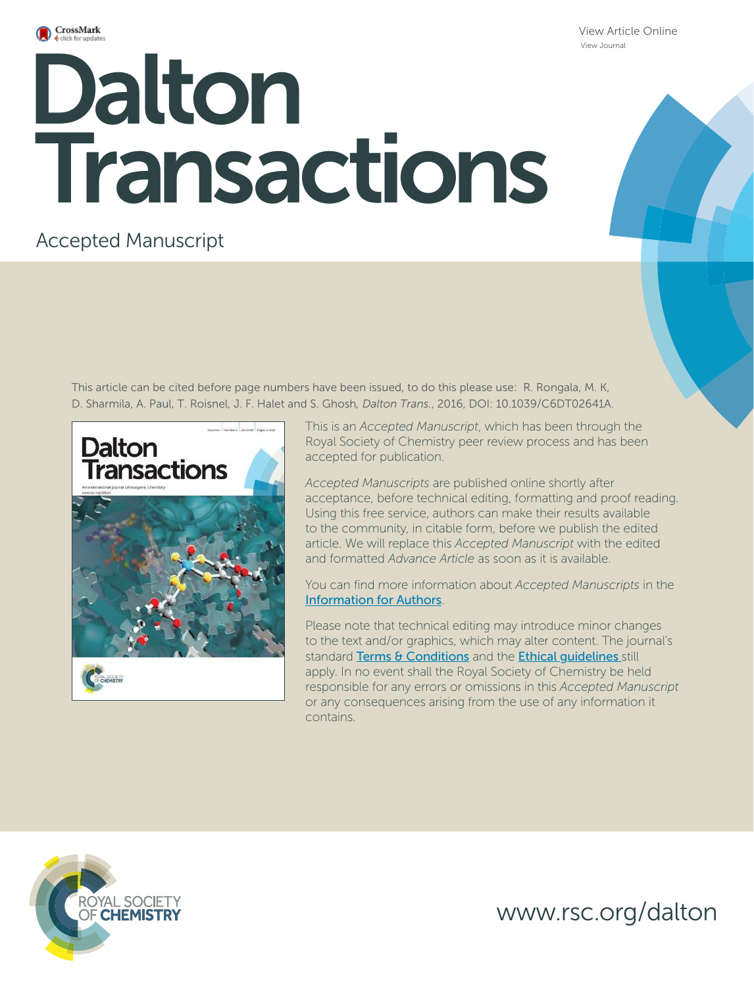

View Article Online View Journal

# **Dalton**<br>Dalton Roll Transactions

# Accepted Manuscript

This article can be cited before page numbers have been issued, to do this please use: R. Rongala, M. K, D. Sharmila, A. Paul, T. Roisnel, J. F. Halet and S. Ghosh*, Dalton Trans.*, 2016, DOI: 10.1039/C6DT02641A.



This is an *Accepted Manuscript*, which has been through the Royal Society of Chemistry peer review process and has been accepted for publication.

*Accepted Manuscripts* are published online shortly after acceptance, before technical editing, formatting and proof reading. Using this free service, authors can make their results available to the community, in citable form, before we publish the edited article. We will replace this *Accepted Manuscript* with the edited and formatted *Advance Article* as soon as it is available.

You can find more information about *Accepted Manuscripts* in the Information for Authors.

Please note that technical editing may introduce minor changes to the text and/or graphics, which may alter content. The journal's standard Terms & Conditions and the Ethical quidelines still apply. In no event shall the Royal Society of Chemistry be held responsible for any errors or omissions in this *Accepted Manuscript* or any consequences arising from the use of any information it contains.



www.rsc.org/dalton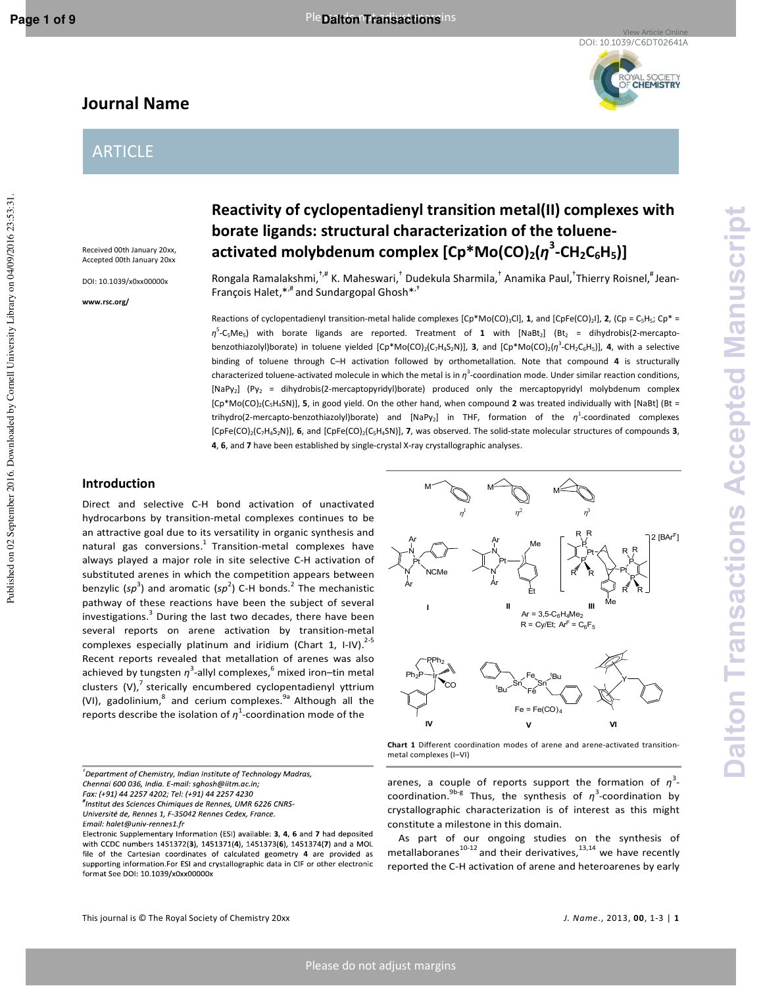Published on 02 September 2016. Downloaded by Cornell University Library on 04/09/2016 23:53:31

YAL SOCIETY<br>**CHEMISTRY** 

# **Journal Name**

# ARTICLE

Received 00th January 20xx, Accepted 00th January 20xx

DOI: 10.1039/x0xx00000x

**www.rsc.org/** 

# **Reactivity of cyclopentadienyl transition metal(II) complexes with borate ligands: structural characterization of the tolueneactivated molybdenum complex [Cp\*Mo(CO)2(***η* **3 -CH2C6H5)]**

Rongala Ramalakshmi, <sup>†,#</sup> K. Maheswari, <sup>†</sup> Dudekula Sharmila, † Anamika Paul, †Thierry Roisnel, <sup>#</sup> Jean-François Halet, $*$ ,  $*$  and Sundargopal Ghosh $*$ ,  $*$ 

Reactions of cyclopentadienyl transition-metal halide complexes  $[Cp*Mo(CO)_3Cl]$ , **1**, and  $[CpFe(CO)_2]$ , **2**,  $(Cp = C_5H_5$ ;  $Cp^* =$  $\eta$ <sup>5</sup>-C<sub>5</sub>Me<sub>5</sub>) with borate ligands are reported. Treatment of **1** with [NaBt<sub>2</sub>] (Bt<sub>2</sub> = dihydrobis(2-mercaptobenzothiazolyl)borate) in toluene yielded [Cp\*Mo(CO)<sub>2</sub>(C<sub>7</sub>H<sub>4</sub>S<sub>2</sub>N)], **3**, and [Cp\*Mo(CO)<sub>2</sub>( $\eta$ <sup>3</sup>-CH<sub>2</sub>C<sub>6</sub>H<sub>5</sub>)], **4**, with a selective binding of toluene through C–H activation followed by orthometallation. Note that compound **4** is structurally characterized toluene-activated molecule in which the metal is in *η*<sup>3</sup>-coordination mode. Under similar reaction conditions, [NaPy<sub>2</sub>] (Py<sub>2</sub> = dihydrobis(2-mercaptopyridyl)borate) produced only the mercaptopyridyl molybdenum complex [Cp\*Mo(CO)2(C5H4SN)], **5**, in good yield. On the other hand, when compound **2** was treated individually with [NaBt] (Bt = trihydro(2-mercapto-benzothiazolyl)borate) and [NaPy2] in THF, formation of the *η* 1 -coordinated complexes [CpFe(CO)2(C7H4S2N)], **6**, and [CpFe(CO)2(C5H4SN)], **7**, was observed. The solid-state molecular structures of compounds **3**, **4**, **6**, and **7** have been established by single-crystal X-ray crystallographic analyses.

## **Introduction**

Direct and selective C-H bond activation of unactivated hydrocarbons by transition-metal complexes continues to be an attractive goal due to its versatility in organic synthesis and natural gas conversions. $1$  Transition-metal complexes have always played a major role in site selective C-H activation of substituted arenes in which the competition appears between benzylic (sp<sup>3</sup>) and aromatic (sp<sup>2</sup>) C-H bonds.<sup>2</sup> The mechanistic pathway of these reactions have been the subject of several investigations. $^3$  During the last two decades, there have been several reports on arene activation by transition-metal complexes especially platinum and iridium (Chart 1, I-IV). $^{2-5}$ Recent reports revealed that metallation of arenes was also achieved by tungsten *η*<sup>3</sup>-allyl complexes,<sup>6</sup> mixed iron–tin metal clusters  $(V)$ , sterically encumbered cyclopentadienyl yttrium (VI), gadolinium,<sup>8</sup> and cerium complexes.<sup>9a</sup> Although all the reports describe the isolation of *η* 1 -coordination mode of the

Chennai 600 036, India. E-mail: sghosh@iitm.ac.in;



**Chart 1** Different coordination modes of arene and arene-activated transitionmetal complexes (I–VI)

arenes, a couple of reports support the formation of *η*<sup>3</sup>coordination.<sup>9b-g</sup> Thus, the synthesis of  $\eta^3$ -coordination by crystallographic characterization is of interest as this might constitute a milestone in this domain.

As part of our ongoing studies on the synthesis of metallaboranes $^{10-12}$  and their derivatives, $^{13,14}$  we have recently reported the C-H activation of arene and heteroarenes by early

 $^\dagger$ Department of Chemistry, Indian Institute of Technology Madras,

Fax: (+91) 44 2257 4202; Tel: (+91) 44 2257 4230

<sup>&</sup>quot;Institut des Sciences Chimiques de Rennes, UMR 6226 CNRS-Université de, Rennes 1, F-35042 Rennes Cedex, France.

Email: halet@univ-rennes1.fr

Electronic Supplementary Information (ESI) available: 3, 4, 6 and 7 had deposited with CCDC numbers 1451372(3), 1451371(4), 1451373(6), 1451374(7) and a MOL file of the Cartesian coordinates of calculated geometry 4 are provided as supporting information.For ESI and crystallographic data in CIF or other electronic format See DOI: 10.1039/x0xx00000x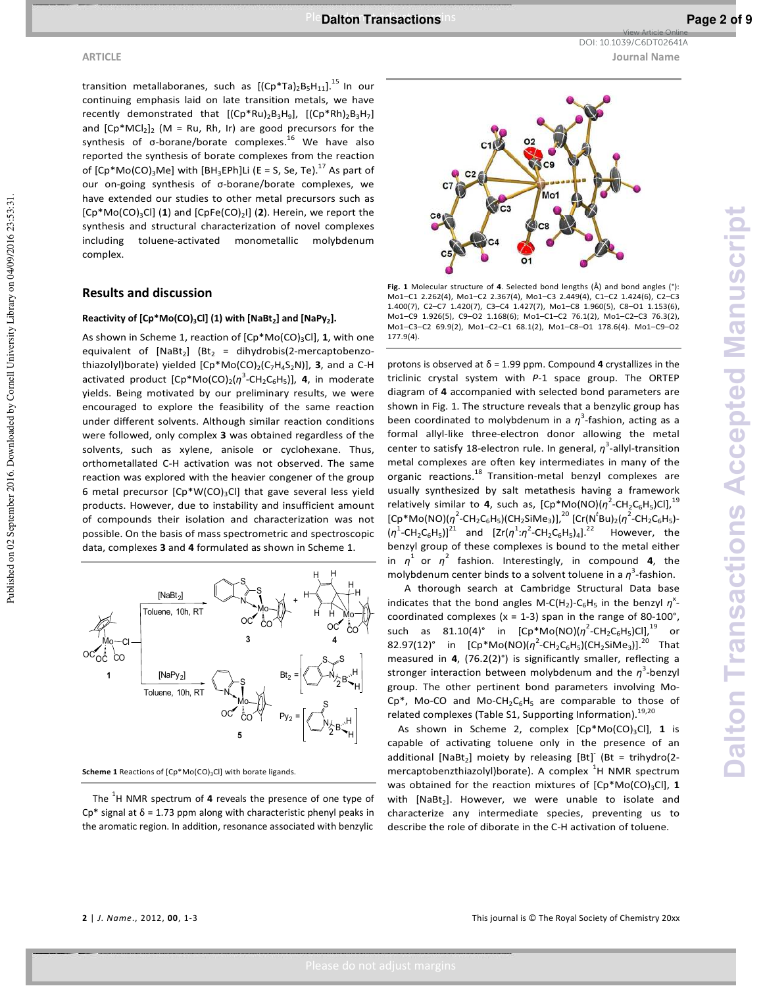View Article Online

transition metallaboranes, such as  $[(Cp*Ta)_{2}B_{5}H_{11}]^{15}$  In our continuing emphasis laid on late transition metals, we have recently demonstrated that  $[(Cp*Ru)_2B_3H_9]$ ,  $[(Cp*Rh)_2B_3H_7]$ and  $[Cp*MCl_2]_2$  (M = Ru, Rh, Ir) are good precursors for the synthesis of  $σ$ -borane/borate complexes.<sup>16</sup> We have also reported the synthesis of borate complexes from the reaction of  $[Cp*Mo(CO)<sub>3</sub>Me]$  with  $[BH<sub>3</sub>EPh]Li$  (E = S, Se, Te).<sup>17</sup> As part of our on-going synthesis of σ-borane/borate complexes, we have extended our studies to other metal precursors such as [Cp\*Mo(CO)<sub>3</sub>Cl] (1) and [CpFe(CO)<sub>2</sub>l] (2). Herein, we report the synthesis and structural characterization of novel complexes including toluene-activated monometallic molybdenum complex.

#### **Results and discussion**

#### **Reactivity of [Cp\*Mo(CO)3Cl] (1) with [NaBt<sup>2</sup> ] and [NaPy<sup>2</sup> ].**

As shown in Scheme 1, reaction of  $[Cp*Mo(CO)<sub>3</sub>Cl]$ , 1, with one equivalent of  $[NaBt<sub>2</sub>]$  (Bt<sub>2</sub> = dihydrobis(2-mercaptobenzothiazolyl)borate) yielded [Cp\*Mo(CO)<sub>2</sub>(C<sub>7</sub>H<sub>4</sub>S<sub>2</sub>N)], **3**, and a C-H activated product [Cp<sup>\*</sup>Mo(CO)<sub>2</sub>(η<sup>3</sup>-CH<sub>2</sub>C<sub>6</sub>H<sub>5</sub>)], **4**, in moderate yields. Being motivated by our preliminary results, we were encouraged to explore the feasibility of the same reaction under different solvents. Although similar reaction conditions were followed, only complex **3** was obtained regardless of the solvents, such as xylene, anisole or cyclohexane. Thus, orthometallated C-H activation was not observed. The same reaction was explored with the heavier congener of the group 6 metal precursor  $[Cp*W(CO)_3Cl]$  that gave several less yield products. However, due to instability and insufficient amount of compounds their isolation and characterization was not possible. On the basis of mass spectrometric and spectroscopic data, complexes **3** and **4** formulated as shown in Scheme 1.



**Scheme 1** Reactions of [Cp\*Mo(CO)<sub>3</sub>Cl] with borate ligands.

The <sup>1</sup>H NMR spectrum of **4** reveals the presence of one type of Cp<sup>\*</sup> signal at  $\delta$  = 1.73 ppm along with characteristic phenyl peaks in the aromatic region. In addition, resonance associated with benzylic



**Fig. 1** Molecular structure of **4**. Selected bond lengths (Å) and bond angles (°): Mo1–C1 2.262(4), Mo1–C2 2.367(4), Mo1–C3 2.449(4), C1–C2 1.424(6), C2–C3 1.400(7), C2–C7 1.420(7), C3–C4 1.427(7), Mo1–C8 1.960(5), C8–O1 1.153(6), Mo1–C9 1.926(5), C9–O2 1.168(6); Mo1–C1–C2 76.1(2), Mo1–C2–C3 76.3(2), Mo1–C3–C2 69.9(2), Mo1–C2–C1 68.1(2), Mo1–C8–O1 178.6(4). Mo1–C9–O2 177.9(4).

protons is observed at δ = 1.99 ppm. Compound **4** crystallizes in the triclinic crystal system with *P*-1 space group. The ORTEP diagram of **4** accompanied with selected bond parameters are shown in Fig. 1. The structure reveals that a benzylic group has been coordinated to molybdenum in a *η*<sup>3</sup>-fashion, acting as a formal allyl-like three-electron donor allowing the metal center to satisfy 18-electron rule. In general, *η* 3 -allyl-transition metal complexes are often key intermediates in many of the organic reactions. $^{18}$  Transition-metal benzyl complexes are usually synthesized by salt metathesis having a framework relatively similar to **4**, such as, [Cp\*Mo(NO)( $n^2$ -CH<sub>2</sub>C<sub>6</sub>H<sub>5</sub>)Cl],<sup>19</sup> [Cp<sup>\*</sup>Mo(NO)(η<sup>2</sup>-CH<sub>2</sub>C<sub>6</sub>H<sub>5</sub>)(CH<sub>2</sub>SiMe<sub>3</sub>)],<sup>20</sup> [Cr(N<sup>t</sup>Bu)<sub>2</sub>(η<sup>2</sup>-CH<sub>2</sub>C<sub>6</sub>H<sub>5</sub>)- $(\eta^1\text{-CH}_2\text{C}_6\text{H}_5)]^{21}$  and  $[Zr(\eta^1:\eta^2\text{-CH}_2\text{C}_6\text{H}_5)_4]^{22}$  However, the benzyl group of these complexes is bound to the metal either in  $\eta^1$  or  $\eta^2$  fashion. Interestingly, in compound **4**, the molybdenum center binds to a solvent toluene in a *η*<sup>3</sup>-fashion.

A thorough search at Cambridge Structural Data base indicates that the bond angles M-C(H<sub>2</sub>)-C<sub>6</sub>H<sub>5</sub> in the benzyl  $\eta$ <sup>x</sup>coordinated complexes ( $x = 1-3$ ) span in the range of 80-100°, such as  $81.10(4)^\circ$  in  $[Cp^*Mo(NO)(\eta^2\text{-}CH_2C_6H_5)Cl],^{19}$  or 82.97(12)° in  $[Cp*Mo(NO)(\eta^2-CH_2C_6H_5)(CH_2SiMe_3)]^{20}$  That measured in **4**, (76.2(2)°) is significantly smaller, reflecting a stronger interaction between molybdenum and the *η*<sup>3</sup>-benzyl group. The other pertinent bond parameters involving Mo- $Cp^*$ , Mo-CO and Mo-CH<sub>2</sub>C<sub>6</sub>H<sub>5</sub> are comparable to those of related complexes (Table S1, Supporting Information).<sup>19,20</sup>

As shown in Scheme 2, complex [Cp\*Mo(CO)<sub>3</sub>Cl], 1 is capable of activating toluene only in the presence of an additional  $[NaBt<sub>2</sub>]$  moiety by releasing  $[Bt]$ <sup>-</sup> (Bt = trihydro(2mercaptobenzthiazolyl)borate). A complex <sup>1</sup>H NMR spectrum was obtained for the reaction mixtures of [Cp\*Mo(CO)<sub>3</sub>Cl], 1 with  $[NaBt_2]$ . However, we were unable to isolate and characterize any intermediate species, preventing us to describe the role of diborate in the C-H activation of toluene.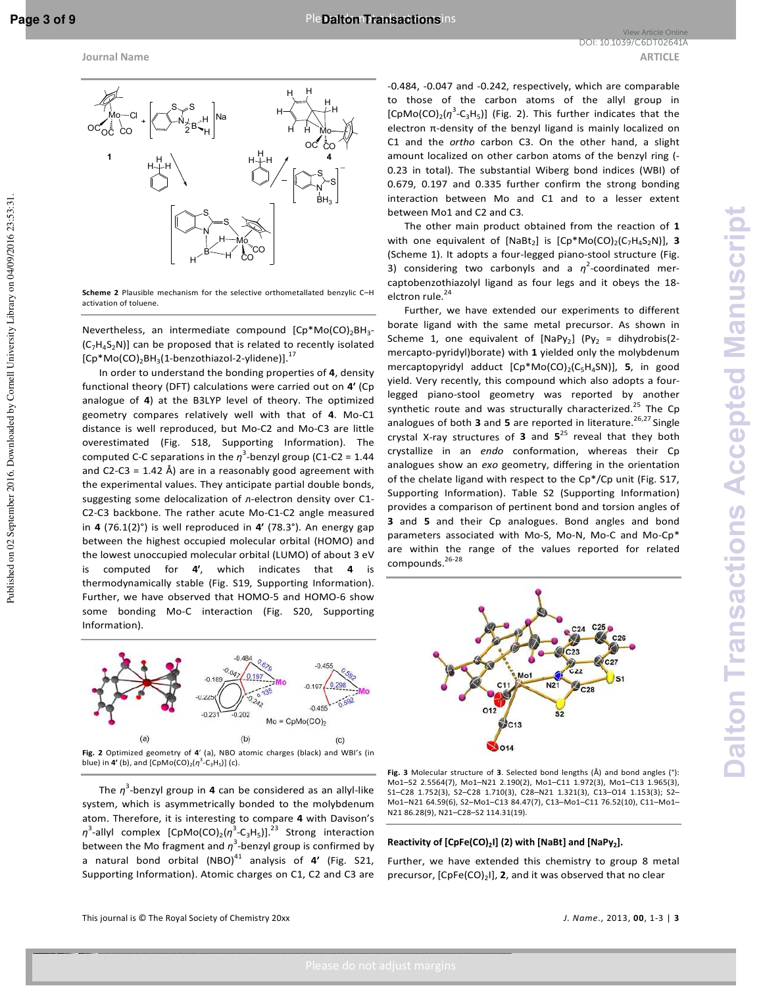**Dalton Transactions Accepted Manuscript**

**Dalton Transactions Accepted Manuscrip** 



**Scheme 2** Plausible mechanism for the selective orthometallated benzylic C–H activation of toluene.

Nevertheless, an intermediate compound [Cp\*Mo(CO)<sub>2</sub>BH<sub>3</sub>- $(C_7H_4S_2N)$ ] can be proposed that is related to recently isolated  $[Cp*Mo(CO)<sub>2</sub>BH<sub>3</sub>(1-benzothiazol-2-y]<sub>1</sub>].<sup>17</sup>$ </sub>

In order to understand the bonding properties of **4**, density functional theory (DFT) calculations were carried out on **4′** (Cp analogue of **4**) at the B3LYP level of theory. The optimized geometry compares relatively well with that of **4**. Mo-C1 distance is well reproduced, but Mo-C2 and Mo-C3 are little overestimated (Fig. S18, Supporting Information). The computed C-C separations in the  $\eta^3$ -benzyl group (C1-C2 = 1.44 and C2-C3 = 1.42 Å) are in a reasonably good agreement with the experimental values. They anticipate partial double bonds, suggesting some delocalization of *n*-electron density over C1-C2-C3 backbone. The rather acute Mo-C1-C2 angle measured in **4** (76.1(2)°) is well reproduced in **4′** (78.3°). An energy gap between the highest occupied molecular orbital (HOMO) and the lowest unoccupied molecular orbital (LUMO) of about 3 eV is computed for **4′**, which indicates that **4** is thermodynamically stable (Fig. S19, Supporting Information). Further, we have observed that HOMO-5 and HOMO-6 show some bonding Mo-C interaction (Fig. S20, Supporting Information).



The *η* 3 -benzyl group in **4** can be considered as an allyl-like system, which is asymmetrically bonded to the molybdenum atom. Therefore, it is interesting to compare **4** with Davison's  $η$ <sup>3</sup>-allyl complex [CpMo(CO)<sub>2</sub>( $η$ <sup>3</sup>-C<sub>3</sub>H<sub>5</sub>)].<sup>23</sup> Strong interaction between the Mo fragment and *η* 3 -benzyl group is confirmed by a natural bond orbital  $(NBO)^{41}$  analysis of  $4'$  (Fig. S21, Supporting Information). Atomic charges on C1, C2 and C3 are

-0.484, -0.047 and -0.242, respectively, which are comparable to those of the carbon atoms of the allyl group in  $[CDMo(CO)<sub>2</sub>(\eta<sup>3</sup>-C<sub>3</sub>H<sub>5</sub>)]$  (Fig. 2). This further indicates that the electron π-density of the benzyl ligand is mainly localized on C1 and the *ortho* carbon C3. On the other hand, a slight amount localized on other carbon atoms of the benzyl ring (- 0.23 in total). The substantial Wiberg bond indices (WBI) of 0.679, 0.197 and 0.335 further confirm the strong bonding interaction between Mo and C1 and to a lesser extent between Mo1 and C2 and C3.

The other main product obtained from the reaction of **1** with one equivalent of  $[NaBt_2]$  is  $[Cp^*Mo(CO)_2(C_7H_4S_2N)]$ , 3 (Scheme 1). It adopts a four-legged piano-stool structure (Fig. 3) considering two carbonyls and a  $\eta^2$ -coordinated mercaptobenzothiazolyl ligand as four legs and it obeys the 18 elctron rule.<sup>24</sup>

Further, we have extended our experiments to different borate ligand with the same metal precursor. As shown in Scheme 1, one equivalent of  $[NaPy_2]$  (Py<sub>2</sub> = dihydrobis(2mercapto-pyridyl)borate) with **1** yielded only the molybdenum mercaptopyridyl adduct [Cp\*Mo(CO)<sub>2</sub>(C<sub>5</sub>H<sub>4</sub>SN)], **5**, in good yield. Very recently, this compound which also adopts a fourlegged piano-stool geometry was reported by another synthetic route and was structurally characterized.<sup>25</sup> The Cp analogues of both 3 and 5 are reported in literature.<sup>26,27</sup> Single crystal X-ray structures of **3** and **5**<sup>25</sup> reveal that they both crystallize in an *endo* conformation, whereas their Cp analogues show an *exo* geometry, differing in the orientation of the chelate ligand with respect to the Cp\*/Cp unit (Fig. S17, Supporting Information). Table S2 (Supporting Information) provides a comparison of pertinent bond and torsion angles of **3** and **5** and their Cp analogues. Bond angles and bond parameters associated with Mo-S, Mo-N, Mo-C and Mo-Cp\* are within the range of the values reported for related compounds.<sup>26-28</sup>



**Fig. 3** Molecular structure of **3**. Selected bond lengths (Å) and bond angles (°): Mo1–S2 2.5564(7), Mo1–N21 2.190(2), Mo1–C11 1.972(3), Mo1–C13 1.965(3), S1–C28 1.752(3), S2–C28 1.710(3), C28–N21 1.321(3), C13–O14 1.153(3); S2– Mo1–N21 64.59(6), S2–Mo1–C13 84.47(7), C13–Mo1–C11 76.52(10), C11–Mo1– N21 86.28(9), N21–C28–S2 114.31(19).

#### **Reactivity of [CpFe(CO)<sup>2</sup> I] (2) with [NaBt] and [NaPy<sup>2</sup> ].**

Further, we have extended this chemistry to group 8 metal precursor, [CpFe(CO)<sub>2</sub>I], 2, and it was observed that no clear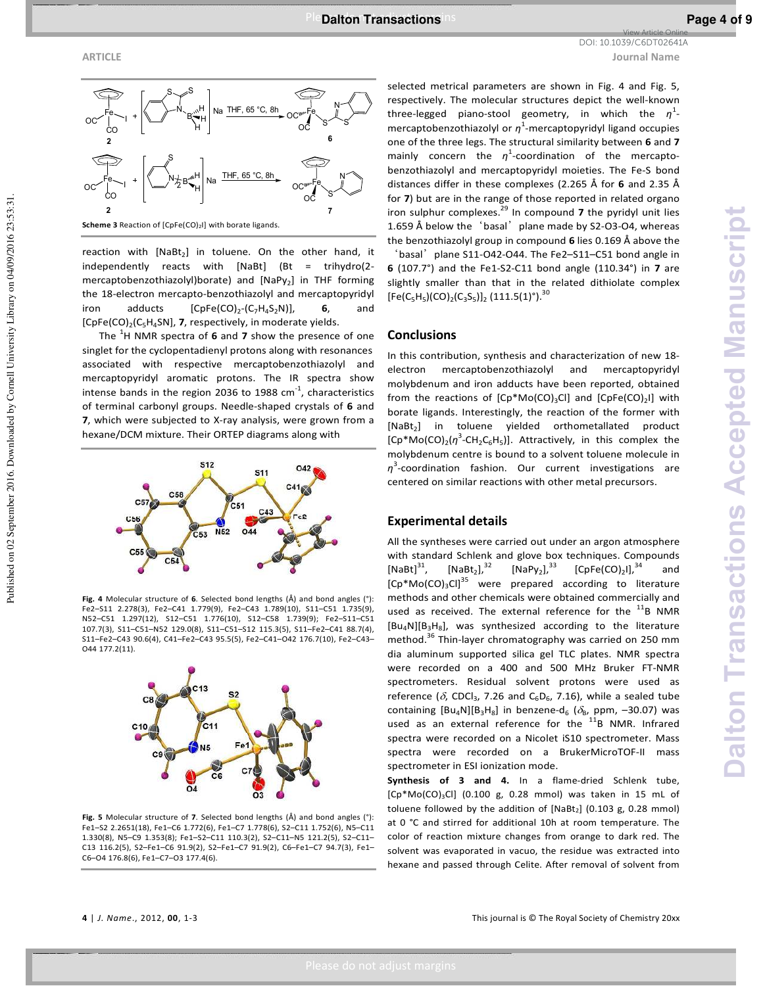Published on 02 September 2016. Downloaded by Cornell University Library on 04/09/2016 23:53:31

**ARTICLE Journal Name** View Article Online DOI: 10.1039/C6DT02641A



**Scheme 3** Reaction of [CpFe(CO)<sub>2</sub>I] with borate ligands.

reaction with  $[NaBt<sub>2</sub>]$  in toluene. On the other hand, it independently reacts with [NaBt] (Bt = trihydro(2 mercaptobenzothiazolyl)borate) and [NaPy<sub>2</sub>] in THF forming the 18-electron mercapto-benzothiazolyl and mercaptopyridyl iron adducts  $[CpFe(CO)<sub>2</sub>(C<sub>7</sub>H<sub>4</sub>S<sub>2</sub>N)],$  **6**, and [CpFe(CO)<sub>2</sub>(C<sub>5</sub>H<sub>4</sub>SN], 7, respectively, in moderate yields.

The <sup>1</sup>H NMR spectra of 6 and 7 show the presence of one singlet for the cyclopentadienyl protons along with resonances associated with respective mercaptobenzothiazolyl and mercaptopyridyl aromatic protons. The IR spectra show intense bands in the region 2036 to 1988  $cm<sup>-1</sup>$ , characteristics of terminal carbonyl groups. Needle-shaped crystals of **6** and **7**, which were subjected to X-ray analysis, were grown from a hexane/DCM mixture. Their ORTEP diagrams along with



**Fig. 4** Molecular structure of **6**. Selected bond lengths (Å) and bond angles (°): Fe2–S11 2.278(3), Fe2–C41 1.779(9), Fe2–C43 1.789(10), S11–C51 1.735(9), N52–C51 1.297(12), S12–C51 1.776(10), S12–C58 1.739(9); Fe2–S11–C51 107.7(3), S11–C51–N52 129.0(8), S11–C51–S12 115.3(5), S11–Fe2–C41 88.7(4), S11–Fe2–C43 90.6(4), C41–Fe2–C43 95.5(5), Fe2–C41–O42 176.7(10), Fe2–C43– O44 177.2(11).



**Fig. 5** Molecular structure of **7**. Selected bond lengths (Å) and bond angles (°): Fe1–S2 2.2651(18), Fe1–C6 1.772(6), Fe1–C7 1.778(6), S2–C11 1.752(6), N5–C11 1.330(8), N5–C9 1.353(8); Fe1–S2–C11 110.3(2), S2–C11–N5 121.2(5), S2–C11– C13 116.2(5), S2–Fe1–C6 91.9(2), S2–Fe1–C7 91.9(2), C6–Fe1–C7 94.7(3), Fe1– C6–O4 176.8(6), Fe1–C7–O3 177.4(6).

selected metrical parameters are shown in Fig. 4 and Fig. 5, respectively. The molecular structures depict the well-known three-legged piano-stool geometry, in which the *η* 1 mercaptobenzothiazolyl or *η*<sup>1</sup>-mercaptopyridyl ligand occupies one of the three legs. The structural similarity between **6** and **7** mainly concern the *η* 1 -coordination of the mercaptobenzothiazolyl and mercaptopyridyl moieties. The Fe-S bond distances differ in these complexes (2.265 Å for **6** and 2.35 Å for **7**) but are in the range of those reported in related organo iron sulphur complexes.<sup>29</sup> In compound 7 the pyridyl unit lies 1.659 Å below the 'basal' plane made by S2-O3-O4, whereas the benzothiazolyl group in compound **6** lies 0.169 Å above the

'basal' plane S11-O42-O44. The Fe2-S11-C51 bond angle in **6** (107.7°) and the Fe1-S2-C11 bond angle (110.34°) in **7** are slightly smaller than that in the related dithiolate complex  $[Fe(C_5H_5)(CO)_2(C_3S_5)]_2$  (111.5(1)°).<sup>30</sup>

#### **Conclusions**

In this contribution, synthesis and characterization of new 18 electron mercaptobenzothiazolyl and mercaptopyridyl molybdenum and iron adducts have been reported, obtained from the reactions of  $[Cp*Mo(CO)_3Cl]$  and  $[CpFe(CO)_2]$  with borate ligands. Interestingly, the reaction of the former with [NaBt<sub>2</sub>] in toluene yielded orthometallated product  $[Cp*Mo(CO)<sub>2</sub>(\eta<sup>3</sup>-CH<sub>2</sub>C<sub>6</sub>H<sub>5</sub>)]$ . Attractively, in this complex the molybdenum centre is bound to a solvent toluene molecule in *η* 3 -coordination fashion. Our current investigations are centered on similar reactions with other metal precursors.

#### **Experimental details**

All the syntheses were carried out under an argon atmosphere with standard Schlenk and glove box techniques. Compounds  $[NaBt]^{31}$ ,  $[NaBt_2]$ ,  $32$ [NaPy<sub>2</sub>], $^{33}$  $],^{33}$  [CpFe(CO)<sub>2</sub>I],<sup>34</sup> and  $[Cp*Mo(CO)<sub>3</sub>Cl]$ <sup>35</sup> were prepared according to literature methods and other chemicals were obtained commercially and used as received. The external reference for the  $^{11}$ B NMR  $[Bu<sub>4</sub>N][B<sub>3</sub>H<sub>8</sub>]$ , was synthesized according to the literature method.<sup>36</sup> Thin-layer chromatography was carried on 250 mm dia aluminum supported silica gel TLC plates. NMR spectra were recorded on a 400 and 500 MHz Bruker FT-NMR spectrometers. Residual solvent protons were used as reference ( $\delta$ , CDCl<sub>3</sub>, 7.26 and C<sub>6</sub>D<sub>6</sub>, 7.16), while a sealed tube containing  $[Bu_4N][B_3H_8]$  in benzene-d<sub>6</sub> ( $\delta_B$ , ppm, -30.07) was used as an external reference for the  $^{11}$ B NMR. Infrared spectra were recorded on a Nicolet iS10 spectrometer. Mass spectra were recorded on a BrukerMicroTOF-II mass spectrometer in ESI ionization mode.

**Synthesis of 3 and 4.** In a flame-dried Schlenk tube,  $[Cp*Mo(CO)<sub>3</sub>Cl]$  (0.100 g, 0.28 mmol) was taken in 15 mL of toluene followed by the addition of  $[NaBt<sub>2</sub>]$  (0.103 g, 0.28 mmol) at 0 °C and stirred for additional 10h at room temperature. The color of reaction mixture changes from orange to dark red. The solvent was evaporated in vacuo, the residue was extracted into hexane and passed through Celite. After removal of solvent from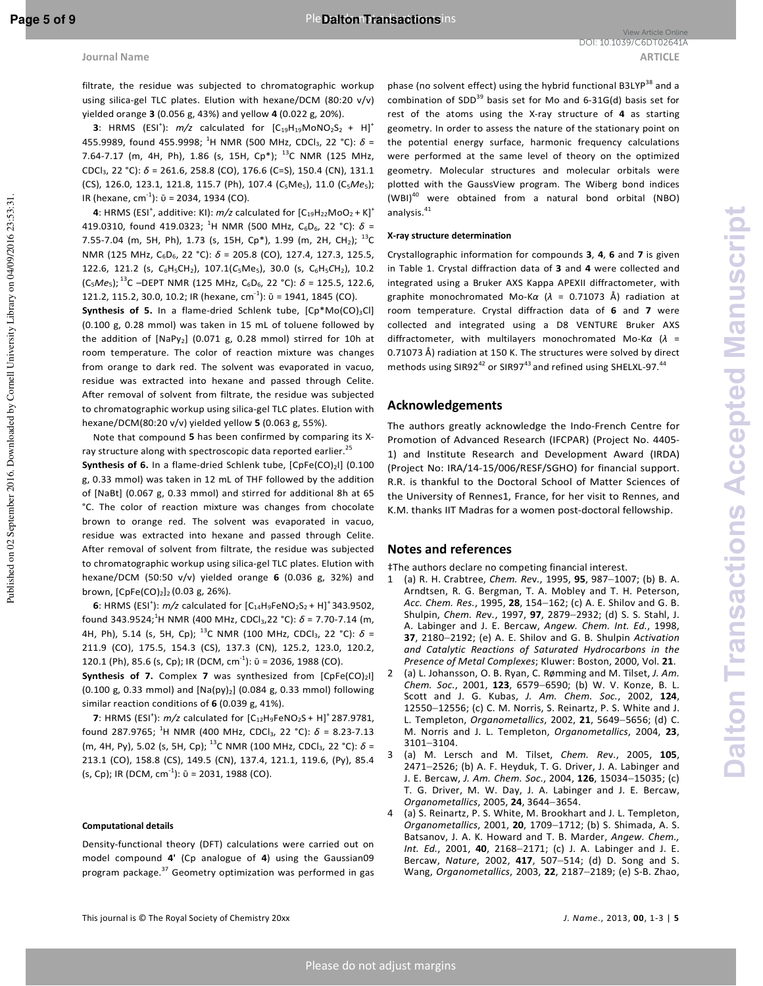filtrate, the residue was subjected to chromatographic workup using silica-gel TLC plates. Elution with hexane/DCM (80:20 v/v) yielded orange **3** (0.056 g, 43%) and yellow **4** (0.022 g, 20%).

**3**: HRMS (ESI<sup>+</sup>):  $m/z$  calculated for  $[C_{19}H_{19}M \text{0}NO_2S_2 + H]^+$ 455.9989, found 455.9998; <sup>1</sup>H NMR (500 MHz, CDCl<sub>3</sub>, 22 °C): *δ* = 7.64-7.17 (m, 4H, Ph), 1.86 (s, 15H, Cp\*);  $^{13}$ C NMR (125 MHz, CDCl3, 22 °C): *δ* = 261.6, 258.8 (CO), 176.6 (C=S), 150.4 (CN), 131.1 (CS), 126.0, 123.1, 121.8, 115.7 (Ph), 107.4 (C<sub>5</sub>Me<sub>5</sub>), 11.0 (C<sub>5</sub>Me<sub>5</sub>); IR (hexane, cm<sup>-1</sup>):  $\bar{v}$  = 2034, 1934 (CO).

**4**: HRMS (ESI<sup>+</sup>, additive: KI):  $m/z$  calculated for  $[C_{19}H_{22}MoO<sub>2</sub> + K]$ <sup>+</sup> 419.0310, found 419.0323; <sup>1</sup>H NMR (500 MHz, C<sub>6</sub>D<sub>6</sub>, 22 °C):  $\delta$  = 7.55-7.04 (m, 5H, Ph), 1.73 (s, 15H, Cp\*), 1.99 (m, 2H, CH<sub>2</sub>); <sup>13</sup>C NMR (125 MHz, C<sub>6</sub>D<sub>6</sub>, 22 °C): δ = 205.8 (CO), 127.4, 127.3, 125.5, 122.6, 121.2 (s,  $C_6H_5CH_2$ ), 107.1( $C_5Me_5$ ), 30.0 (s,  $C_6H_5CH_2$ ), 10.2 (C5*Me*5);<sup>13</sup>C –DEPT NMR (125 MHz, C6D6, 22 °C): *δ* = 125.5, 122.6, 121.2, 115.2, 30.0, 10.2; IR (hexane, cm<sup>-1</sup>):  $\bar{v}$  = 1941, 1845 (CO).

**Synthesis of 5.** In a flame-dried Schlenk tube,  $[CD^*MO(CO)_3Cl]$ (0.100 g, 0.28 mmol) was taken in 15 mL of toluene followed by the addition of  $[NaPy_2]$  (0.071 g, 0.28 mmol) stirred for 10h at room temperature. The color of reaction mixture was changes from orange to dark red. The solvent was evaporated in vacuo, residue was extracted into hexane and passed through Celite. After removal of solvent from filtrate, the residue was subjected to chromatographic workup using silica-gel TLC plates. Elution with hexane/DCM(80:20 v/v) yielded yellow **5** (0.063 g, 55%).

Note that compound **5** has been confirmed by comparing its Xray structure along with spectroscopic data reported earlier.<sup>25</sup>

**Synthesis of 6.** In a flame-dried Schlenk tube, [CpFe(CO)<sub>2</sub>I] (0.100 g, 0.33 mmol) was taken in 12 mL of THF followed by the addition of [NaBt] (0.067 g, 0.33 mmol) and stirred for additional 8h at 65 °C. The color of reaction mixture was changes from chocolate brown to orange red. The solvent was evaporated in vacuo, residue was extracted into hexane and passed through Celite. After removal of solvent from filtrate, the residue was subjected to chromatographic workup using silica-gel TLC plates. Elution with hexane/DCM (50:50 v/v) yielded orange **6** (0.036 g, 32%) and brown,  $[CpFe(CO)<sub>2</sub>]$ <sub>2</sub> (0.03 g, 26%).

**6**: HRMS (ESI<sup>+</sup>):  $m/z$  calculated for  $[C_{14}H_9FeNO_2S_2 + H]^+$  343.9502, found 343.9524;<sup>1</sup>H NMR (400 MHz, CDCl<sub>3</sub>,22 °C):  $\delta$  = 7.70-7.14 (m, 4H, Ph), 5.14 (s, 5H, Cp); <sup>13</sup>C NMR (100 MHz, CDCl3, 22 °C): *δ* = 211.9 (CO), 175.5, 154.3 (CS), 137.3 (CN), 125.2, 123.0, 120.2, 120.1 (Ph), 85.6 (s, Cp); IR (DCM, cm<sup>-1</sup>):  $\bar{v}$  = 2036, 1988 (CO).

**Synthesis of 7.** Complex 7 was synthesized from [CpFe(CO)<sub>2</sub>I] (0.100 g, 0.33 mmol) and  $[Na(py)_2]$  (0.084 g, 0.33 mmol) following similar reaction conditions of **6** (0.039 g, 41%).

**7**: HRMS (ESI<sup>+</sup>):  $m/z$  calculated for  $[C_{12}H_9FeNO_2S + H]^+$  287.9781, found 287.9765; <sup>1</sup>H NMR (400 MHz, CDCl<sub>3</sub>, 22 °C):  $\delta$  = 8.23-7.13 (m, 4H, Py), 5.02 (s, 5H, Cp); <sup>13</sup>C NMR (100 MHz, CDCl<sub>3</sub>, 22 °C): δ = 213.1 (CO), 158.8 (CS), 149.5 (CN), 137.4, 121.1, 119.6, (Py), 85.4 (s, Cp); IR (DCM,  $cm^{-1}$ ):  $\bar{v}$  = 2031, 1988 (CO).

#### **Computational details**

Density-functional theory (DFT) calculations were carried out on model compound **4'** (Cp analogue of **4**) using the Gaussian09 program package.<sup>37</sup> Geometry optimization was performed in gas phase (no solvent effect) using the hybrid functional B3LYP<sup>38</sup> and a combination of SDD<sup>39</sup> basis set for Mo and  $6-31G(d)$  basis set for rest of the atoms using the X-ray structure of **4** as starting geometry. In order to assess the nature of the stationary point on the potential energy surface, harmonic frequency calculations were performed at the same level of theory on the optimized geometry. Molecular structures and molecular orbitals were plotted with the GaussView program. The Wiberg bond indices (WBI)<sup>40</sup> were obtained from a natural bond orbital (NBO) analysis. $41$ 

#### **X-ray structure determination**

Crystallographic information for compounds **3**, **4**, **6** and **7** is given in Table 1. Crystal diffraction data of **3** and **4** were collected and integrated using a Bruker AXS Kappa APEXII diffractometer, with graphite monochromated Mo-K*α* (*λ* = 0.71073 Å) radiation at room temperature. Crystal diffraction data of **6** and **7** were collected and integrated using a D8 VENTURE Bruker AXS diffractometer, with multilayers monochromated Mo-K*α* (*λ* = 0.71073 Å) radiation at 150 K. The structures were solved by direct methods using SIR92 $42$  or SIR97 $43$  and refined using SHELXL-97. $44$ 

#### **Acknowledgements**

The authors greatly acknowledge the Indo-French Centre for Promotion of Advanced Research (IFCPAR) (Project No. 4405- 1) and Institute Research and Development Award (IRDA) (Project No: IRA/14-15/006/RESF/SGHO) for financial support. R.R. is thankful to the Doctoral School of Matter Sciences of the University of Rennes1, France, for her visit to Rennes, and K.M. thanks IIT Madras for a women post-doctoral fellowship.

#### **Notes and references**

‡The authors declare no competing financial interest.

- 1 (a) R. H. Crabtree, *Chem. Re*v*.*, 1995, **95**, 987−1007; (b) B. A. Arndtsen, R. G. Bergman, T. A. Mobley and T. H. Peterson, *Acc. Chem. Res.*, 1995, **28**, 154−162; (c) A. E. Shilov and G. B. Shulpin, *Chem. Re*v*.*, 1997, **97**, 2879−2932; (d) S. S. Stahl, J. A. Labinger and J. E. Bercaw, *Angew. Chem. Int. Ed.*, 1998, **37**, 2180−2192; (e) A. E. Shilov and G. B. Shulpin *Acti*v*ation and Catalytic Reactions of Saturated Hydrocarbons in the Presence of Metal Complexes*; Kluwer: Boston, 2000, Vol. **21**.
- 2 (a) L. Johansson, O. B. Ryan, C. Rømming and M. Tilset, *J. Am. Chem. Soc.*, 2001, **123**, 6579−6590; (b) W. V. Konze, B. L. Scott and J. G. Kubas, *J. Am. Chem. Soc.*, 2002, **124**, 12550−12556; (c) C. M. Norris, S. Reinartz, P. S. White and J. L. Templeton, *Organometallics*, 2002, **21**, 5649−5656; (d) C. M. Norris and J. L. Templeton, *Organometallics*, 2004, **23**, 3101−3104.
- 3 (a) M. Lersch and M. Tilset, *Chem. Re*v*.*, 2005, **105**, 2471−2526; (b) A. F. Heyduk, T. G. Driver, J. A. Labinger and J. E. Bercaw, *J. Am. Chem. Soc.*, 2004, **126**, 15034−15035; (c) T. G. Driver, M. W. Day, J. A. Labinger and J. E. Bercaw, *Organometallics*, 2005, **24**, 3644−3654.
- 4 (a) S. Reinartz, P. S. White, M. Brookhart and J. L. Templeton, *Organometallics*, 2001, **20**, 1709−1712; (b) S. Shimada, A. S. Batsanov, J. A. K. Howard and T. B. Marder, *Angew. Chem., Int. Ed.*, 2001, **40**, 2168−2171; (c) J. A. Labinger and J. E. Bercaw, *Nature*, 2002, **417**, 507−514; (d) D. Song and S. Wang, *Organometallics*, 2003, **22**, 2187−2189; (e) S-B. Zhao,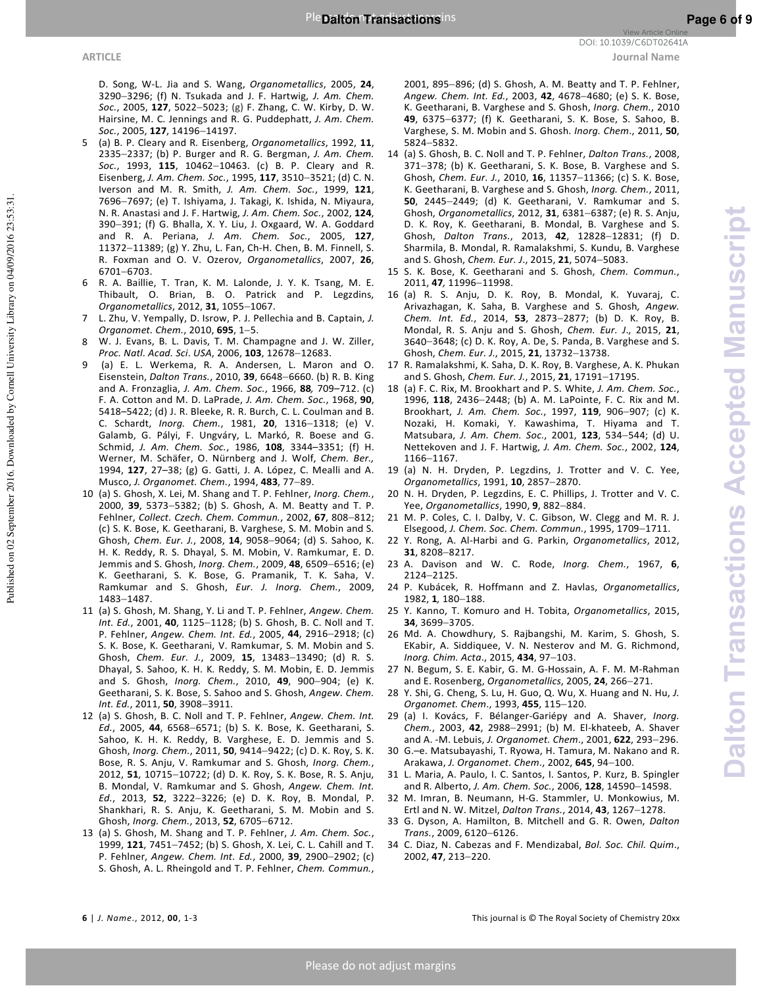Published on 02 September 2016. Downloaded by Cornell University Library on 04/09/2016 23:53:31

D. Song, W-L. Jia and S. Wang, *Organometallics*, 2005, **24**, 3290−3296; (f) N. Tsukada and J. F. Hartwig, *J. Am. Chem. Soc.*, 2005, **127**, 5022−5023; (g) F. Zhang, C. W. Kirby, D. W. Hairsine, M. C. Jennings and R. G. Puddephatt, *J. Am. Chem. Soc.*, 2005, **127**, 14196−14197.

- 5 (a) B. P. Cleary and R. Eisenberg, *Organometallics*, 1992, **11**, 2335−2337; (b) P. Burger and R. G. Bergman, *J. Am. Chem. Soc.*, 1993, **115**, 10462−10463. (c) B. P. Cleary and R. Eisenberg, *J. Am. Chem. Soc.*, 1995, **117**, 3510−3521; (d) C. N. Iverson and M. R. Smith, *J. Am. Chem. Soc.*, 1999, **121**, 7696−7697; (e) T. Ishiyama, J. Takagi, K. Ishida, N. Miyaura, N. R. Anastasi and J. F. Hartwig, *J. Am. Chem. Soc.*, 2002, **124**, 390−391; (f) G. Bhalla, X. Y. Liu, J. Oxgaard, W. A. Goddard and R. A. Periana, *J. Am. Chem. Soc.*, 2005, **127**, 11372−11389; (g) Y. Zhu, L. Fan, Ch-H. Chen, B. M. Finnell, S. R. Foxman and O. V. Ozerov, *Organometallics*, 2007, **26**, 6701−6703.
- 6 R. A. Baillie, T. Tran, K. M. Lalonde, J. Y. K. Tsang, M. E. Thibault, O. Brian, B. O. Patrick and P. Legzdins, *Organometallics*, 2012, **31**, 1055−1067.
- 7 L. Zhu, V. Yempally, D. Isrow, P. J. Pellechia and B. Captain, *J. Organomet. Chem.*, 2010, **695**, 1−5.
- 8 W. J. Evans, B. L. Davis, T. M. Champagne and J. W. Ziller, *Proc. Natl. Acad. Sci*. *USA*, 2006, **103**, 12678−12683.
- 9 (a) E. L. Werkema, R. A. Andersen, L. Maron and O. Eisenstein, *Dalton Trans.*, 2010, **39**, 6648−6660. (b) R. B. King and A. Fronzaglia, *J. Am. Chem. Soc.*, 1966, **88***,* 709–712. (c) F. A. Cotton and M. D. LaPrade, *J. Am. Chem. Soc.*, 1968, **90**, 5418–5422; (d) J. R. Bleeke, R. R. Burch, C. L. Coulman and B. C. Schardt, *Inorg. Chem.*, 1981, **20**, 1316−1318; (e) V. Galamb, G. Pályi, F. Ungváry, L. Markó, R. Boese and G. Schmid, *J. Am. Chem. Soc.*, 1986, **108**, 3344–3351; (f) H. Werner, M. Schäfer, O. Nürnberg and J. Wolf, *Chem. Ber.,* 1994, **127**, 27–38; (g) G. Gatti, J. A. López, C. Mealli and A. Musco, *J. Organomet. Chem.*, 1994, **483**, 77−89.
- 10 (a) S. Ghosh, X. Lei, M. Shang and T. P. Fehlner, *Inorg. Chem.*, 2000, **39**, 5373−5382; (b) S. Ghosh, A. M. Beatty and T. P. Fehlner, *Collect. Czech. Chem. Commun.*, 2002, **67**, 808−812; (c) S. K. Bose, K. Geetharani, B. Varghese, S. M. Mobin and S. Ghosh, *Chem. Eur. J.*, 2008, **14**, 9058−9064; (d) S. Sahoo, K. H. K. Reddy, R. S. Dhayal, S. M. Mobin, V. Ramkumar, E. D. Jemmis and S. Ghosh, *Inorg. Chem.*, 2009, **48**, 6509−6516; (e) K. Geetharani, S. K. Bose, G. Pramanik, T. K. Saha, V. Ramkumar and S. Ghosh, *Eur. J. Inorg. Chem.*, 2009, 1483−1487.
- 11 (a) S. Ghosh, M. Shang, Y. Li and T. P. Fehlner, *Angew. Chem. Int. Ed.*, 2001, **40**, 1125−1128; (b) S. Ghosh, B. C. Noll and T. P. Fehlner, *Angew. Chem. Int. Ed.*, 2005, **44**, 2916−2918; (c) S. K. Bose, K. Geetharani, V. Ramkumar, S. M. Mobin and S. Ghosh, *Chem. Eur. J.*, 2009, **15**, 13483−13490; (d) R. S. Dhayal, S. Sahoo, K. H. K. Reddy, S. M. Mobin, E. D. Jemmis and S. Ghosh, *Inorg. Chem.*, 2010, **49**, 900−904; (e) K. Geetharani, S. K. Bose, S. Sahoo and S. Ghosh, *Angew. Chem. Int. Ed.*, 2011, **50**, 3908−3911.
- 12 (a) S. Ghosh, B. C. Noll and T. P. Fehlner, *Angew. Chem. Int. Ed.*, 2005, **44**, 6568−6571; (b) S. K. Bose, K. Geetharani, S. Sahoo, K. H. K. Reddy, B. Varghese, E. D. Jemmis and S. Ghosh, *Inorg. Chem.*, 2011, **50**, 9414−9422; (c) D. K. Roy, S. K. Bose, R. S. Anju, V. Ramkumar and S. Ghosh, *Inorg. Chem.*, 2012, **51**, 10715−10722; (d) D. K. Roy, S. K. Bose, R. S. Anju, B. Mondal, V. Ramkumar and S. Ghosh, *Angew. Chem. Int. Ed.*, 2013, **52**, 3222−3226; (e) D. K. Roy, B. Mondal, P. Shankhari, R. S. Anju, K. Geetharani, S. M. Mobin and S. Ghosh, *Inorg. Chem.*, 2013, **52**, 6705−6712.
- 13 (a) S. Ghosh, M. Shang and T. P. Fehlner, *J. Am. Chem. Soc.*, 1999, **121**, 7451−7452; (b) S. Ghosh, X. Lei, C. L. Cahill and T. P. Fehlner, *Angew. Chem. Int. Ed.*, 2000, **39**, 2900−2902; (c) S. Ghosh, A. L. Rheingold and T. P. Fehlner, *Chem. Commun.*,

2001, 895−896; (d) S. Ghosh, A. M. Beatty and T. P. Fehlner, *Angew. Chem. Int. Ed.*, 2003, **42**, 4678−4680; (e) S. K. Bose, K. Geetharani, B. Varghese and S. Ghosh, *Inorg. Chem.*, 2010 **49**, 6375−6377; (f) K. Geetharani, S. K. Bose, S. Sahoo, B. Varghese, S. M. Mobin and S. Ghosh. *Inorg. Chem*., 2011, **50**, 5824−5832.

- 14 (a) S. Ghosh, B. C. Noll and T. P. Fehlner, *Dalton Trans.*, 2008, 371−378; (b) K. Geetharani, S. K. Bose, B. Varghese and S. Ghosh, *Chem. Eur. J.*, 2010, **16**, 11357−11366; (c) S. K. Bose, K. Geetharani, B. Varghese and S. Ghosh, *Inorg. Chem.*, 2011, **50**, 2445−2449; (d) K. Geetharani, V. Ramkumar and S. Ghosh, *Organometallics*, 2012, **31**, 6381−6387; (e) R. S. Anju, D. K. Roy, K. Geetharani, B. Mondal, B. Varghese and S. Ghosh, *Dalton Trans.*, 2013, **42**, 12828−12831; (f) D. Sharmila, B. Mondal, R. Ramalakshmi, S. Kundu, B. Varghese and S. Ghosh, *Chem. Eur. J*., 2015, **21**, 5074−5083.
- 15 S. K. Bose, K. Geetharani and S. Ghosh, *Chem. Commun.*, 2011, **47***,* 11996−11998.
- 16 (a) R. S. Anju, D. K. Roy, B. Mondal, K. Yuvaraj, C. Arivazhagan, K. Saha, B. Varghese and S. Ghosh*, Angew. Chem. Int. Ed.*, 2014, **53**, 2873−2877; (b) D. K. Roy, B. Mondal, R. S. Anju and S. Ghosh, *Chem. Eur. J*., 2015, **21**, 3640−3648; (c) D. K. Roy, A. De, S. Panda, B. Varghese and S. Ghosh, *Chem. Eur. J.*, 2015, **21**, 13732−13738.
- 17 R. Ramalakshmi, K. Saha, D. K. Roy, B. Varghese, A. K. Phukan and S. Ghosh, *Chem. Eur. J.*, 2015, **21**, 17191−17195.
- 18 (a) F. C. Rix, M. Brookhart and P. S. White, *J. Am. Chem. Soc.*, 1996, **118**, 2436−2448; (b) A. M. LaPointe, F. C. Rix and M. Brookhart, *J. Am. Chem. Soc.*, 1997, **119**, 906−907; (c) K. Nozaki, H. Komaki, Y. Kawashima, T. Hiyama and T. Matsubara, *J. Am. Chem. Soc.*, 2001, **123**, 534−544; (d) U. Nettekoven and J. F. Hartwig, *J. Am. Chem. Soc.*, 2002, **124**, 1166−1167.
- 19 (a) N. H. Dryden, P. Legzdins, J. Trotter and V. C. Yee, *Organometallics*, 1991, **10**, 2857−2870.
- 20 N. H. Dryden, P. Legzdins, E. C. Phillips, J. Trotter and V. C. Yee, *Organometallics*, 1990, **9**, 882−884.
- 21 M. P. Coles, C. I. Dalby, V. C. Gibson, W. Clegg and M. R. J. Elsegood, *J. Chem. Soc. Chem. Commun.*, 1995, 1709−1711.
- 22 Y. Rong, A. Al-Harbi and G. Parkin, *Organometallics*, 2012, **31**, 8208−8217.
- 23 A. Davison and W. C. Rode, *Inorg. Chem.*, 1967, **6**, 2124−2125.
- 24 P. Kubácek, R. Hoffmann and Z. Havlas, *Organometallics*, 1982, **1***,* 180−188.
- 25 Y. Kanno, T. Komuro and H. Tobita, *Organometallics*, 2015, **34**, 3699−3705.
- 26 Md. A. Chowdhury, S. Rajbangshi, M. Karim, S. Ghosh, S. EKabir, A. Siddiquee, V. N. Nesterov and M. G. Richmond, *Inorg. Chim. Acta*., 2015, **434**, 97−103.
- 27 N. Begum, S. E. Kabir, G. M. G-Hossain, A. F. M. M-Rahman and E. Rosenberg, *Organometallics*, 2005, **24**, 266−271.
- 28 Y. Shi, G. Cheng, S. Lu, H. Guo, Q. Wu, X. Huang and N. Hu, *J. Organomet. Chem*., 1993, **455**, 115−120.
- 29 (a) I. Kovács, F. Bélanger-Gariépy and A. Shaver, *Inorg. Chem.*, 2003, **42**, 2988−2991; (b) M. El-khateeb, A. Shaver and A. -M. Lebuis, *J. Organomet. Chem*., 2001, **622**, 293−296.
- 30 G.–e. Matsubayashi, T. Ryowa, H. Tamura, M. Nakano and R. Arakawa, *J. Organomet. Chem*., 2002, **645**, 94−100.
- 31 L. Maria, A. Paulo, I. C. Santos, I. Santos, P. Kurz, B. Spingler and R. Alberto, *J. Am. Chem. Soc.*, 2006, **128**, 14590−14598.
- 32 M. Imran, B. Neumann, H-G. Stammler, U. Monkowius, M. Ertl and N. W. Mitzel, *Dalton Trans.*, 2014, **43**, 1267−1278.
- 33 G. Dyson, A. Hamilton, B. Mitchell and G. R. Owen, *Dalton Trans.*, 2009, 6120−6126.
- 34 C. Diaz, N. Cabezas and F. Mendizabal, *Bol. Soc. Chil. Quim*., 2002, **47**, 213−220.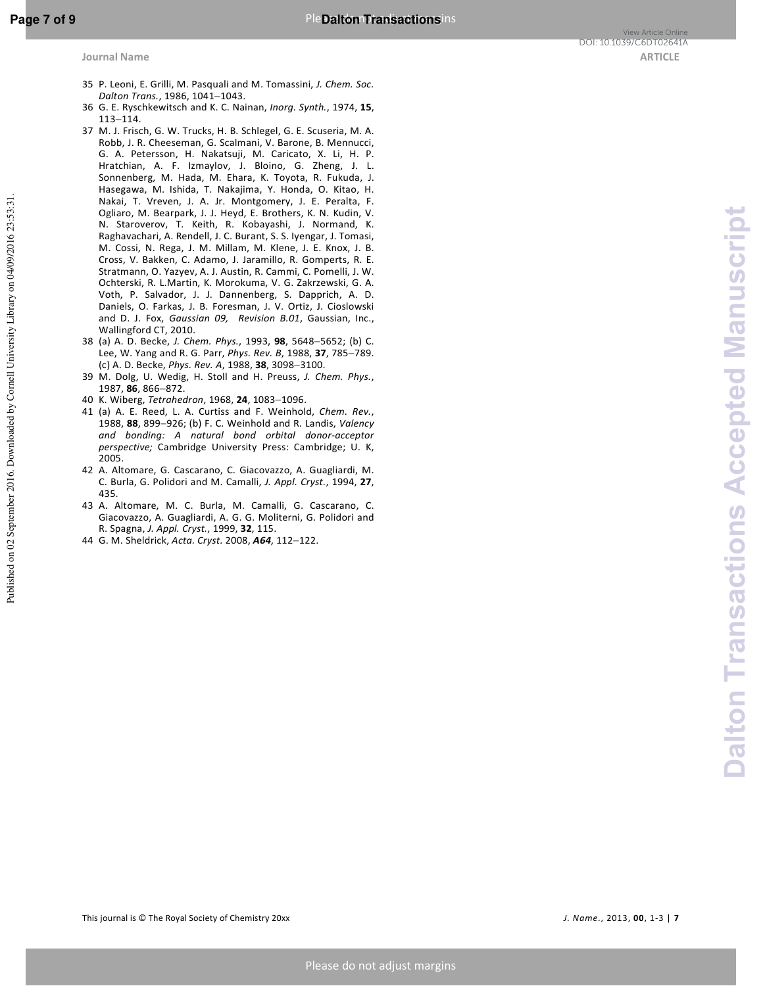- 35 P. Leoni, E. Grilli, M. Pasquali and M. Tomassini, *J. Chem. Soc. Dalton Trans.*, 1986, 1041−1043.
- 36 G. E. Ryschkewitsch and K. C. Nainan, *Inorg. Synth.*, 1974, **15**, 113−114.
- 37 M. J. Frisch, G. W. Trucks, H. B. Schlegel, G. E. Scuseria, M. A. Robb, J. R. Cheeseman, G. Scalmani, V. Barone, B. Mennucci, G. A. Petersson, H. Nakatsuji, M. Caricato, X. Li, H. P. Hratchian, A. F. Izmaylov, J. Bloino, G. Zheng, J. L. Sonnenberg, M. Hada, M. Ehara, K. Toyota, R. Fukuda, J. Hasegawa, M. Ishida, T. Nakajima, Y. Honda, O. Kitao, H. Nakai, T. Vreven, J. A. Jr. Montgomery, J. E. Peralta, F. Ogliaro, M. Bearpark, J. J. Heyd, E. Brothers, K. N. Kudin, V. N. Staroverov, T. Keith, R. Kobayashi, J. Normand, K. Raghavachari, A. Rendell, J. C. Burant, S. S. Iyengar, J. Tomasi, M. Cossi, N. Rega, J. M. Millam, M. Klene, J. E. Knox, J. B. Cross, V. Bakken, C. Adamo, J. Jaramillo, R. Gomperts, R. E. Stratmann, O. Yazyev, A. J. Austin, R. Cammi, C. Pomelli, J. W. Ochterski, R. L.Martin, K. Morokuma, V. G. Zakrzewski, G. A. Voth, P. Salvador, J. J. Dannenberg, S. Dapprich, A. D. Daniels, O. Farkas, J. B. Foresman, J. V. Ortiz, J. Cioslowski and D. J. Fox, *Gaussian 09, Revision B.01*, Gaussian, Inc., Wallingford CT, 2010.
- 38 (a) A. D. Becke, *J. Chem. Phys.*, 1993, **98**, 5648−5652; (b) C. Lee, W. Yang and R. G. Parr, *Phys. Rev. B*, 1988, **37**, 785−789. (c) A. D. Becke, *Phys. Rev. A*, 1988, **38**, 3098−3100.
- 39 M. Dolg, U. Wedig, H. Stoll and H. Preuss, *J. Chem. Phys.*, 1987, **86**, 866−872.
- 40 K. Wiberg, *Tetrahedron*, 1968, **24**, 1083−1096.
- 41 (a) A. E. Reed, L. A. Curtiss and F. Weinhold, *Chem. Rev.*, 1988, **88**, 899−926; (b) F. C. Weinhold and R. Landis, *Valency and bonding: A natural bond orbital donor-acceptor perspective;* Cambridge University Press: Cambridge; U. K, 2005.
- 42 A. Altomare, G. Cascarano, C. Giacovazzo, A. Guagliardi, M. C. Burla, G. Polidori and M. Camalli, *J. Appl. Cryst.*, 1994, **27**, 435.
- 43 A. Altomare, M. C. Burla, M. Camalli, G. Cascarano, C. Giacovazzo, A. Guagliardi, A. G. G. Moliterni, G. Polidori and R. Spagna, *J. Appl. Cryst.*, 1999, **32**, 115.
- 44 G. M. Sheldrick, *Acta. Cryst.* 2008, *A64*, 112−122.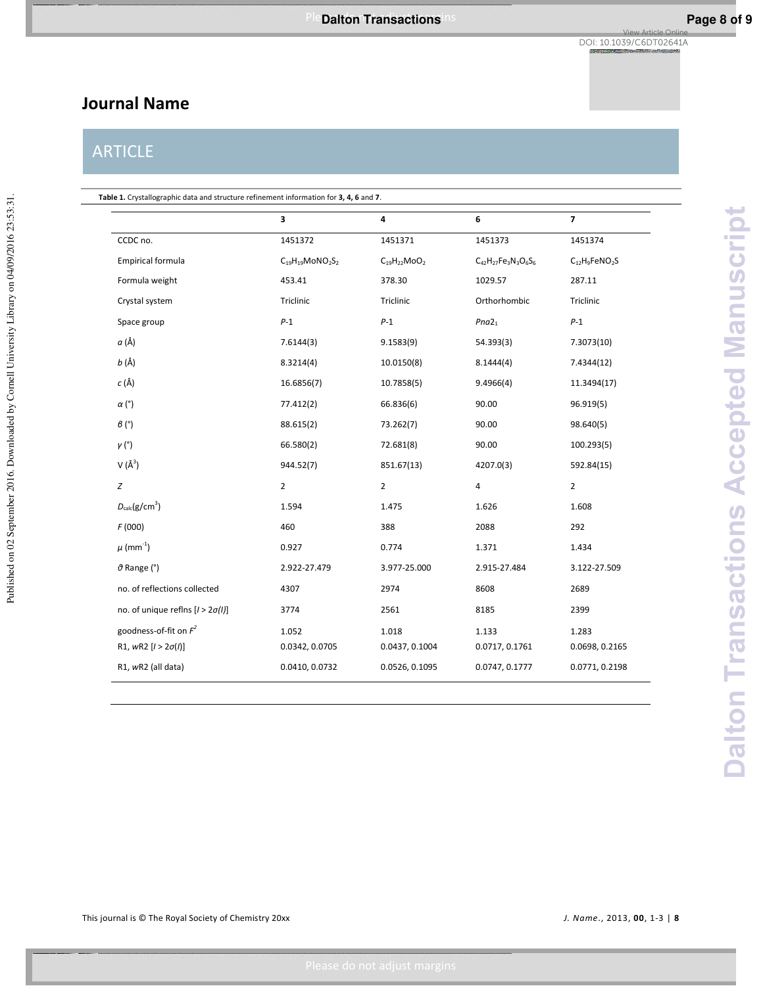# **Journal Name**

# ARTICLE

|                                         | 3                                               | 4                  | 6                           | $\overline{7}$                  |
|-----------------------------------------|-------------------------------------------------|--------------------|-----------------------------|---------------------------------|
| CCDC no.                                | 1451372                                         | 1451371            | 1451373                     | 1451374                         |
| <b>Empirical formula</b>                | $C_{19}H_{19}$ MoNO <sub>2</sub> S <sub>2</sub> | $C_{19}H_{22}MoO2$ | $C_{42}H_{27}Fe_3N_3O_6S_6$ | $C_{12}H_9$ FeNO <sub>2</sub> S |
| Formula weight                          | 453.41                                          | 378.30             | 1029.57                     | 287.11                          |
| Crystal system                          | Triclinic                                       | Triclinic          | Orthorhombic                | Triclinic                       |
| Space group                             | $P-1$                                           | $P-1$              | Pna2 <sub>1</sub>           | $P-1$                           |
| a (Å)                                   | 7.6144(3)                                       | 9.1583(9)          | 54.393(3)                   | 7.3073(10)                      |
| <i>b</i> (Å)                            | 8.3214(4)                                       | 10.0150(8)         | 8.1444(4)                   | 7.4344(12)                      |
| $c(\text{\AA})$                         | 16.6856(7)                                      | 10.7858(5)         | 9.4966(4)                   | 11.3494(17)                     |
| $\alpha$ (°)                            | 77.412(2)                                       | 66.836(6)          | 90.00                       | 96.919(5)                       |
| $\beta$ (°)                             | 88.615(2)                                       | 73.262(7)          | 90.00                       | 98.640(5)                       |
| $\gamma$ (°)                            | 66.580(2)                                       | 72.681(8)          | 90.00                       | 100.293(5)                      |
| $V(\AA^3)$                              | 944.52(7)                                       | 851.67(13)         | 4207.0(3)                   | 592.84(15)                      |
| $\boldsymbol{Z}$                        | $\overline{2}$                                  | $\overline{2}$     | $\overline{4}$              | $\overline{2}$                  |
| $D_{\text{calc}}(g/cm^3)$               | 1.594                                           | 1.475              | 1.626                       | 1.608                           |
| F(000)                                  | 460                                             | 388                | 2088                        | 292                             |
| $\mu$ (mm <sup>-1</sup> )               | 0.927                                           | 0.774              | 1.371                       | 1.434                           |
| $\vartheta$ Range (°)                   | 2.922-27.479                                    | 3.977-25.000       | 2.915-27.484                | 3.122-27.509                    |
| no. of reflections collected            | 4307                                            | 2974               | 8608                        | 2689                            |
| no. of unique reflns $[1 > 2\sigma(1)]$ | 3774                                            | 2561               | 8185                        | 2399                            |
| goodness-of-fit on $F^2$                | 1.052                                           | 1.018              | 1.133                       | 1.283                           |
| R1, $wR2$ [ $l > 2\sigma(l)$ ]          | 0.0342, 0.0705                                  | 0.0437, 0.1004     | 0.0717, 0.1761              | 0.0698, 0.2165                  |
| R1, wR2 (all data)                      | 0.0410, 0.0732                                  | 0.0526, 0.1095     | 0.0747, 0.1777              | 0.0771, 0.2198                  |